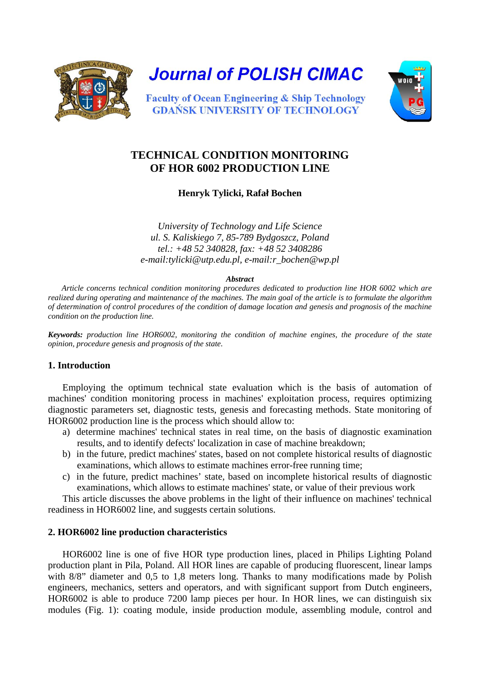

**Journal of POLISH CIMAC** 



**Faculty of Ocean Engineering & Ship Technology GDAŃSK UNIVERSITY OF TECHNOLOGY** 

# **TECHNICAL CONDITION MONITORING OF HOR 6002 PRODUCTION LINE**

**Henryk Tylicki, Rafał Bochen**

*University of Technology and Life Science ul. S. Kaliskiego 7, 85-789 Bydgoszcz, Poland tel.: +48 52 340828, fax: +48 52 3408286 e-mail:tylicki@utp.edu.pl, e-mail:r\_bochen@wp.pl* 

#### *Abstract*

*Article concerns technical condition monitoring procedures dedicated to production line HOR 6002 which are realized during operating and maintenance of the machines. The main goal of the article is to formulate the algorithm of determination of control procedures of the condition of damage location and genesis and prognosis of the machine condition on the production line.*

*Keywords: production line HOR6002, monitoring the condition of machine engines, the procedure of the state opinion, procedure genesis and prognosis of the state.* 

#### **1. Introduction**

Employing the optimum technical state evaluation which is the basis of automation of machines' condition monitoring process in machines' exploitation process, requires optimizing diagnostic parameters set, diagnostic tests, genesis and forecasting methods. State monitoring of HOR6002 production line is the process which should allow to:

- a) determine machines' technical states in real time, on the basis of diagnostic examination results, and to identify defects' localization in case of machine breakdown;
- b) in the future, predict machines' states, based on not complete historical results of diagnostic examinations, which allows to estimate machines error-free running time;
- c) in the future, predict machines' state, based on incomplete historical results of diagnostic examinations, which allows to estimate machines' state, or value of their previous work

This article discusses the above problems in the light of their influence on machines' technical readiness in HOR6002 line, and suggests certain solutions.

## **2. HOR6002 line production characteristics**

HOR6002 line is one of five HOR type production lines, placed in Philips Lighting Poland production plant in Pila, Poland. All HOR lines are capable of producing fluorescent, linear lamps with 8/8" diameter and 0,5 to 1,8 meters long. Thanks to many modifications made by Polish engineers, mechanics, setters and operators, and with significant support from Dutch engineers, HOR6002 is able to produce 7200 lamp pieces per hour. In HOR lines, we can distinguish six modules (Fig. 1): coating module, inside production module, assembling module, control and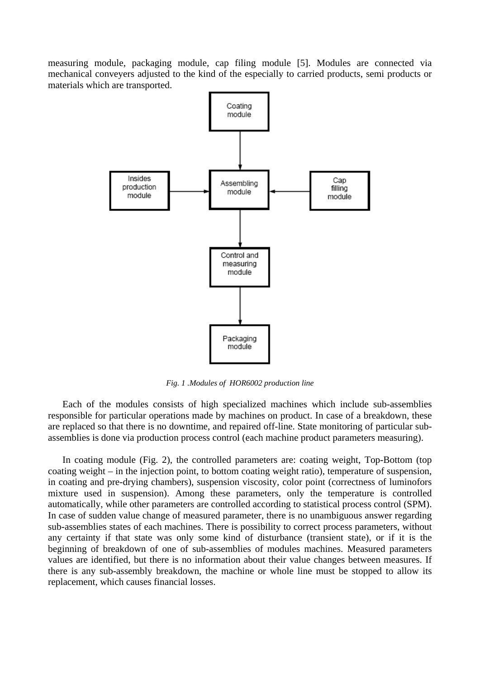measuring module, packaging module, cap filing module [5]. Modules are connected via mechanical conveyers adjusted to the kind of the especially to carried products, semi products or materials which are transported.



*Fig. 1 .Modules of HOR6002 production line*

Each of the modules consists of high specialized machines which include sub-assemblies responsible for particular operations made by machines on product. In case of a breakdown, these are replaced so that there is no downtime, and repaired off-line. State monitoring of particular subassemblies is done via production process control (each machine product parameters measuring).

In coating module (Fig. 2), the controlled parameters are: coating weight, Top-Bottom (top coating weight – in the injection point, to bottom coating weight ratio), temperature of suspension, in coating and pre-drying chambers), suspension viscosity, color point (correctness of luminofors mixture used in suspension). Among these parameters, only the temperature is controlled automatically, while other parameters are controlled according to statistical process control (SPM). In case of sudden value change of measured parameter, there is no unambiguous answer regarding sub-assemblies states of each machines. There is possibility to correct process parameters, without any certainty if that state was only some kind of disturbance (transient state), or if it is the beginning of breakdown of one of sub-assemblies of modules machines. Measured parameters values are identified, but there is no information about their value changes between measures. If there is any sub-assembly breakdown, the machine or whole line must be stopped to allow its replacement, which causes financial losses.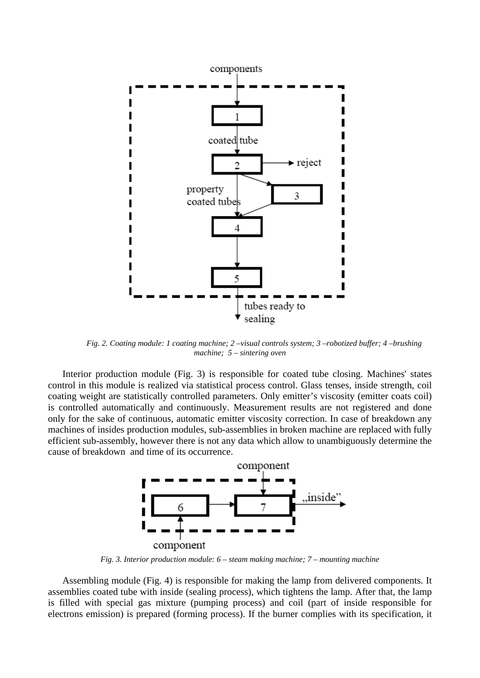

*Fig. 2. Coating module: 1 coating machine; 2 –visual controls system; 3 –robotized buffer; 4 –brushing machine; 5 – sintering oven*

Interior production module (Fig. 3) is responsible for coated tube closing. Machines' states control in this module is realized via statistical process control. Glass tenses, inside strength, coil coating weight are statistically controlled parameters. Only emitter's viscosity (emitter coats coil) is controlled automatically and continuously. Measurement results are not registered and done only for the sake of continuous, automatic emitter viscosity correction. In case of breakdown any machines of insides production modules, sub-assemblies in broken machine are replaced with fully efficient sub-assembly, however there is not any data which allow to unambiguously determine the cause of breakdown and time of its occurrence.



*Fig. 3. Interior production module: 6 – steam making machine; 7 – mounting machine*

Assembling module (Fig. 4) is responsible for making the lamp from delivered components. It assemblies coated tube with inside (sealing process), which tightens the lamp. After that, the lamp is filled with special gas mixture (pumping process) and coil (part of inside responsible for electrons emission) is prepared (forming process). If the burner complies with its specification, it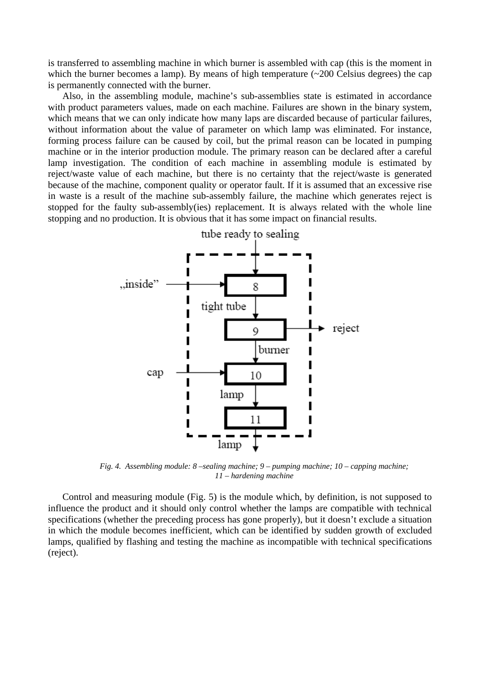is transferred to assembling machine in which burner is assembled with cap (this is the moment in which the burner becomes a lamp). By means of high temperature (~200 Celsius degrees) the cap is permanently connected with the burner.

Also, in the assembling module, machine's sub-assemblies state is estimated in accordance with product parameters values, made on each machine. Failures are shown in the binary system, which means that we can only indicate how many laps are discarded because of particular failures, without information about the value of parameter on which lamp was eliminated. For instance, forming process failure can be caused by coil, but the primal reason can be located in pumping machine or in the interior production module. The primary reason can be declared after a careful lamp investigation. The condition of each machine in assembling module is estimated by reject/waste value of each machine, but there is no certainty that the reject/waste is generated because of the machine, component quality or operator fault. If it is assumed that an excessive rise in waste is a result of the machine sub-assembly failure, the machine which generates reject is stopped for the faulty sub-assembly(ies) replacement. It is always related with the whole line stopping and no production. It is obvious that it has some impact on financial results.



*Fig. 4. Assembling module: 8 –sealing machine; 9 – pumping machine; 10 – capping machine; 11 – hardening machine*

Control and measuring module (Fig. 5) is the module which, by definition, is not supposed to influence the product and it should only control whether the lamps are compatible with technical specifications (whether the preceding process has gone properly), but it doesn't exclude a situation in which the module becomes inefficient, which can be identified by sudden growth of excluded lamps, qualified by flashing and testing the machine as incompatible with technical specifications (reject).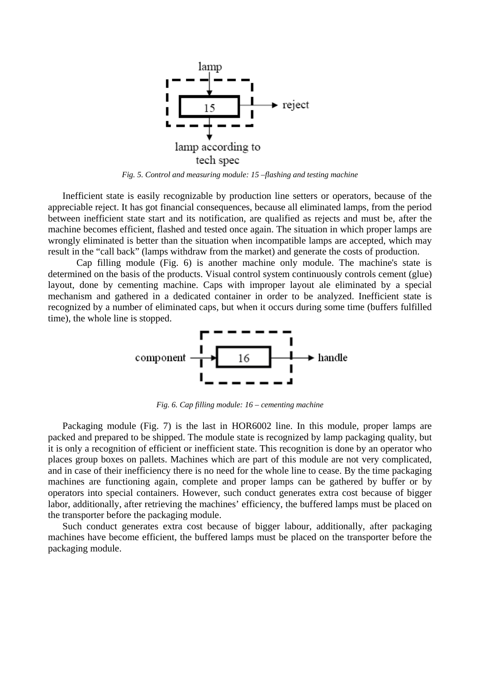

*Fig. 5. Control and measuring module: 15 –flashing and testing machine*

Inefficient state is easily recognizable by production line setters or operators, because of the appreciable reject. It has got financial consequences, because all eliminated lamps, from the period between inefficient state start and its notification, are qualified as rejects and must be, after the machine becomes efficient, flashed and tested once again. The situation in which proper lamps are wrongly eliminated is better than the situation when incompatible lamps are accepted, which may result in the "call back" (lamps withdraw from the market) and generate the costs of production.

Cap filling module (Fig. 6) is another machine only module. The machine's state is determined on the basis of the products. Visual control system continuously controls cement (glue) layout, done by cementing machine. Caps with improper layout ale eliminated by a special mechanism and gathered in a dedicated container in order to be analyzed. Inefficient state is recognized by a number of eliminated caps, but when it occurs during some time (buffers fulfilled time), the whole line is stopped.



*Fig. 6. Cap filling module: 16 – cementing machine*

Packaging module (Fig. 7) is the last in HOR6002 line. In this module, proper lamps are packed and prepared to be shipped. The module state is recognized by lamp packaging quality, but it is only a recognition of efficient or inefficient state. This recognition is done by an operator who places group boxes on pallets. Machines which are part of this module are not very complicated, and in case of their inefficiency there is no need for the whole line to cease. By the time packaging machines are functioning again, complete and proper lamps can be gathered by buffer or by operators into special containers. However, such conduct generates extra cost because of bigger labor, additionally, after retrieving the machines' efficiency, the buffered lamps must be placed on the transporter before the packaging module.

Such conduct generates extra cost because of bigger labour, additionally, after packaging machines have become efficient, the buffered lamps must be placed on the transporter before the packaging module.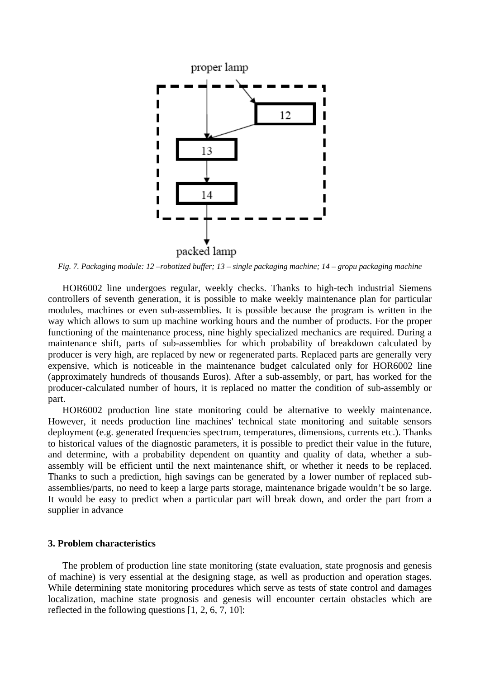![](_page_5_Figure_0.jpeg)

*Fig. 7. Packaging module: 12 –robotized buffer; 13 – single packaging machine; 14 – gropu packaging machine*

HOR6002 line undergoes regular, weekly checks. Thanks to high-tech industrial Siemens controllers of seventh generation, it is possible to make weekly maintenance plan for particular modules, machines or even sub-assemblies. It is possible because the program is written in the way which allows to sum up machine working hours and the number of products. For the proper functioning of the maintenance process, nine highly specialized mechanics are required. During a maintenance shift, parts of sub-assemblies for which probability of breakdown calculated by producer is very high, are replaced by new or regenerated parts. Replaced parts are generally very expensive, which is noticeable in the maintenance budget calculated only for HOR6002 line (approximately hundreds of thousands Euros). After a sub-assembly, or part, has worked for the producer-calculated number of hours, it is replaced no matter the condition of sub-assembly or part.

HOR6002 production line state monitoring could be alternative to weekly maintenance. However, it needs production line machines' technical state monitoring and suitable sensors deployment (e.g. generated frequencies spectrum, temperatures, dimensions, currents etc.). Thanks to historical values of the diagnostic parameters, it is possible to predict their value in the future, and determine, with a probability dependent on quantity and quality of data, whether a subassembly will be efficient until the next maintenance shift, or whether it needs to be replaced. Thanks to such a prediction, high savings can be generated by a lower number of replaced subassemblies/parts, no need to keep a large parts storage, maintenance brigade wouldn't be so large. It would be easy to predict when a particular part will break down, and order the part from a supplier in advance

## **3. Problem characteristics**

The problem of production line state monitoring (state evaluation, state prognosis and genesis of machine) is very essential at the designing stage, as well as production and operation stages. While determining state monitoring procedures which serve as tests of state control and damages localization, machine state prognosis and genesis will encounter certain obstacles which are reflected in the following questions [1, 2, 6, 7, 10]: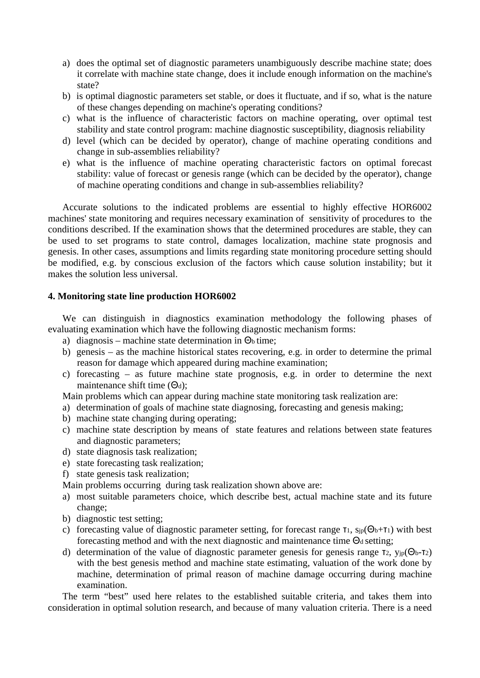- a) does the optimal set of diagnostic parameters unambiguously describe machine state; does it correlate with machine state change, does it include enough information on the machine's state?
- b) is optimal diagnostic parameters set stable, or does it fluctuate, and if so, what is the nature of these changes depending on machine's operating conditions?
- c) what is the influence of characteristic factors on machine operating, over optimal test stability and state control program: machine diagnostic susceptibility, diagnosis reliability
- d) level (which can be decided by operator), change of machine operating conditions and change in sub-assemblies reliability?
- e) what is the influence of machine operating characteristic factors on optimal forecast stability: value of forecast or genesis range (which can be decided by the operator), change of machine operating conditions and change in sub-assemblies reliability?

Accurate solutions to the indicated problems are essential to highly effective HOR6002 machines' state monitoring and requires necessary examination of sensitivity of procedures to the conditions described. If the examination shows that the determined procedures are stable, they can be used to set programs to state control, damages localization, machine state prognosis and genesis. In other cases, assumptions and limits regarding state monitoring procedure setting should be modified, e.g. by conscious exclusion of the factors which cause solution instability; but it makes the solution less universal.

#### **4. Monitoring state line production HOR6002**

We can distinguish in diagnostics examination methodology the following phases of evaluating examination which have the following diagnostic mechanism forms:

- a) diagnosis machine state determination in  $\Theta_b$  time;
- b) genesis as the machine historical states recovering, e.g. in order to determine the primal reason for damage which appeared during machine examination;
- c) forecasting as future machine state prognosis, e.g. in order to determine the next maintenance shift time  $(\Theta_d)$ ;

Main problems which can appear during machine state monitoring task realization are:

- a) determination of goals of machine state diagnosing, forecasting and genesis making;
- b) machine state changing during operating;
- c) machine state description by means of state features and relations between state features and diagnostic parameters;
- d) state diagnosis task realization;
- e) state forecasting task realization;
- f) state genesis task realization;

Main problems occurring during task realization shown above are:

- a) most suitable parameters choice, which describe best, actual machine state and its future change;
- b) diagnostic test setting;
- c) forecasting value of diagnostic parameter setting, for forecast range  $\tau_1$ ,  $\sin(\Theta_b + \tau_1)$  with best forecasting method and with the next diagnostic and maintenance time  $\Theta_d$  setting;
- d) determination of the value of diagnostic parameter genesis for genesis range τ2,  $y_{ip}(\Theta_b \tau_2)$ with the best genesis method and machine state estimating, valuation of the work done by machine, determination of primal reason of machine damage occurring during machine examination.

The term "best" used here relates to the established suitable criteria, and takes them into consideration in optimal solution research, and because of many valuation criteria. There is a need